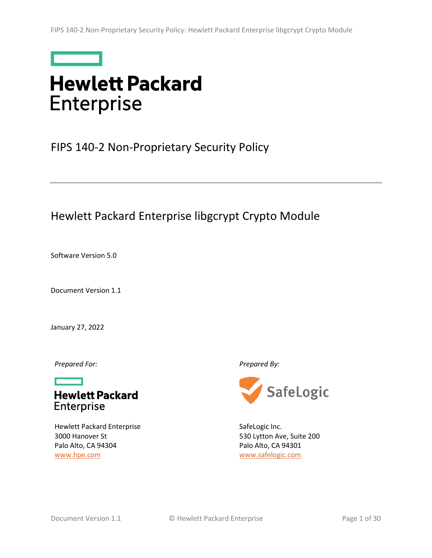

# **Hewlett Packard Enterprise**

# <span id="page-0-2"></span>FIPS 140-2 Non-Proprietary Security Policy

# Hewlett Packard Enterprise libgcrypt Crypto Module

<span id="page-0-1"></span>Software Version 5.0

<span id="page-0-0"></span>Document Version 1.1

January 27, 2022

*Prepared For: Prepared By:*



Hewlett Packard Enterprise 3000 Hanover St Palo Alto, CA 94304 [www.hpe.com](http://www.hpe.com/)



SafeLogic Inc. 530 Lytton Ave, Suite 200 Palo Alto, CA 94301 [www.safelogic.com](http://www.safelogic.com/)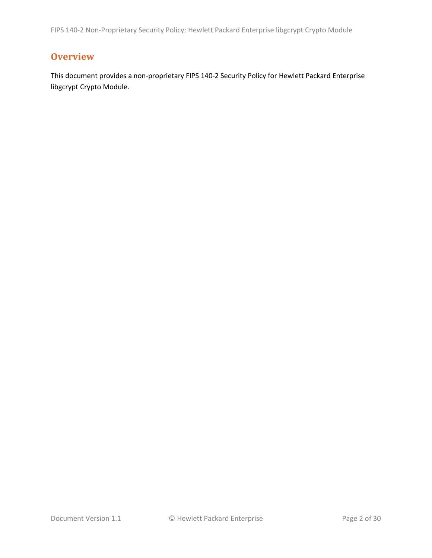FIPS 140-2 Non-Proprietary Security Policy: Hewlett Packard Enterprise libgcrypt Crypto Module

# <span id="page-1-0"></span>**Overview**

This document provides a non-proprietary FIPS 140-2 Security Policy for Hewlett Packard Enterprise libgcrypt Crypto Module.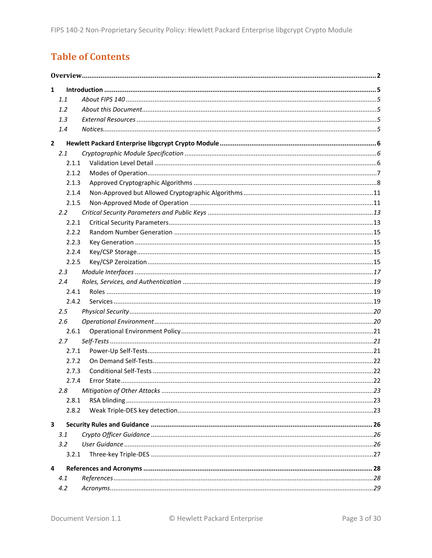# **Table of Contents**

| $\mathbf{1}$ |               |  |  |  |  |
|--------------|---------------|--|--|--|--|
|              | 1.1           |  |  |  |  |
|              | 1.2           |  |  |  |  |
|              | 1.3           |  |  |  |  |
|              | 1.4           |  |  |  |  |
| $\mathbf{2}$ |               |  |  |  |  |
|              | 2.1           |  |  |  |  |
|              | 2.1.1         |  |  |  |  |
|              | 2.1.2         |  |  |  |  |
|              | 2.1.3         |  |  |  |  |
|              | 2.1.4         |  |  |  |  |
|              | 2.1.5         |  |  |  |  |
|              | $2.2^{\circ}$ |  |  |  |  |
|              | 2.2.1         |  |  |  |  |
|              | 2.2.2         |  |  |  |  |
|              | 2.2.3         |  |  |  |  |
|              | 2.2.4         |  |  |  |  |
|              | 2.2.5         |  |  |  |  |
|              | 2.3           |  |  |  |  |
|              | 2.4           |  |  |  |  |
|              | 2.4.1         |  |  |  |  |
|              | 2.4.2         |  |  |  |  |
|              | 2.5           |  |  |  |  |
|              | 2.6           |  |  |  |  |
|              | 2.6.1         |  |  |  |  |
|              | 2.7           |  |  |  |  |
|              | 2.7.1         |  |  |  |  |
|              | 2.7.2         |  |  |  |  |
|              | 2.7.3         |  |  |  |  |
|              | 2.7.4         |  |  |  |  |
|              | 2.8           |  |  |  |  |
|              | 2.8.1         |  |  |  |  |
|              | 2.8.2         |  |  |  |  |
| 3            |               |  |  |  |  |
|              | 3.1           |  |  |  |  |
|              | 3.2           |  |  |  |  |
|              | 3.2.1         |  |  |  |  |
|              |               |  |  |  |  |
| 4            |               |  |  |  |  |
|              | 4.1           |  |  |  |  |
|              | 4.2           |  |  |  |  |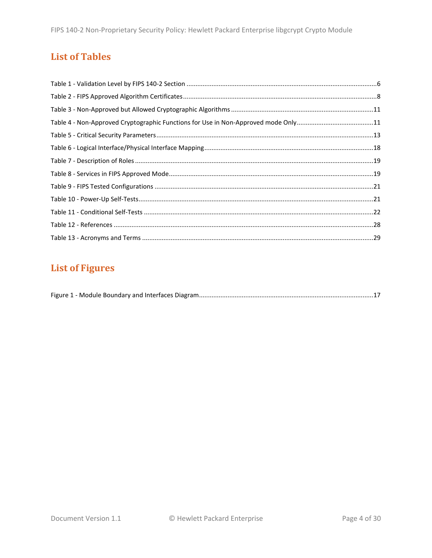# **List of Tables**

| Table 4 - Non-Approved Cryptographic Functions for Use in Non-Approved mode Only11 |  |
|------------------------------------------------------------------------------------|--|
|                                                                                    |  |
|                                                                                    |  |
|                                                                                    |  |
|                                                                                    |  |
|                                                                                    |  |
|                                                                                    |  |
|                                                                                    |  |
|                                                                                    |  |
|                                                                                    |  |

# **List of Figures**

|--|--|--|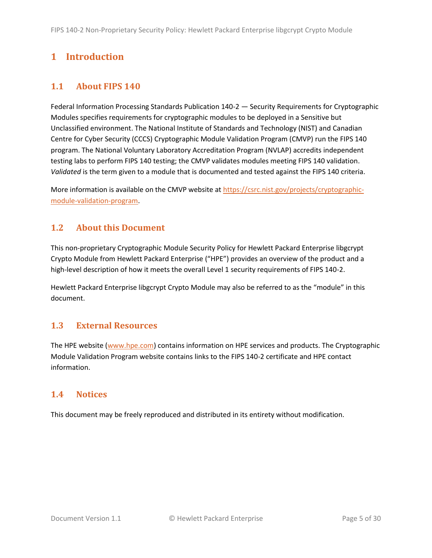# <span id="page-4-0"></span>**1 Introduction**

# <span id="page-4-1"></span>**1.1 About FIPS 140**

Federal Information Processing Standards Publication 140-2 — Security Requirements for Cryptographic Modules specifies requirements for cryptographic modules to be deployed in a Sensitive but Unclassified environment. The National Institute of Standards and Technology (NIST) and Canadian Centre for Cyber Security (CCCS) Cryptographic Module Validation Program (CMVP) run the FIPS 140 program. The National Voluntary Laboratory Accreditation Program (NVLAP) accredits independent testing labs to perform FIPS 140 testing; the CMVP validates modules meeting FIPS 140 validation. *Validated* is the term given to a module that is documented and tested against the FIPS 140 criteria.

More information is available on the CMVP website at [https://csrc.nist.gov/projects/cryptographic](https://csrc.nist.gov/projects/cryptographic-module-validation-program)[module-validation-program.](https://csrc.nist.gov/projects/cryptographic-module-validation-program)

# <span id="page-4-2"></span>**1.2 About this Document**

This non-proprietary Cryptographic Module Security Policy for Hewlett Packard Enterprise libgcrypt Crypto Module from Hewlett Packard Enterprise ("HPE") provides an overview of the product and a high-level description of how it meets the overall Level 1 security requirements of FIPS 140-2.

Hewlett Packard Enterprise libgcrypt Crypto Module may also be referred to as the "module" in this document.

# <span id="page-4-3"></span>**1.3 External Resources**

The HPE website [\(www.hpe.com\)](http://www.hpe.com/) contains information on HPE services and products. The Cryptographic Module Validation Program website contains links to the FIPS 140-2 certificate and HPE contact information.

# <span id="page-4-4"></span>**1.4 Notices**

This document may be freely reproduced and distributed in its entirety without modification.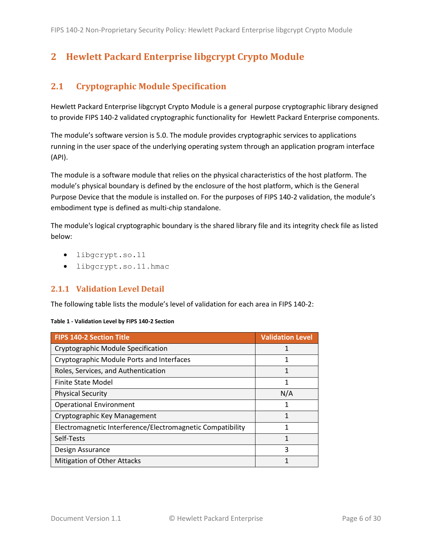# <span id="page-5-0"></span>**2 Hewlett Packard Enterprise libgcrypt Crypto Module**

# <span id="page-5-1"></span>**2.1 Cryptographic Module Specification**

Hewlett Packard Enterprise libgcrypt Crypto Module is a general purpose cryptographic library designed to provide FIPS 140-2 validated cryptographic functionality for Hewlett Packard Enterprise components.

The module's software version is [5.0.](#page-0-1) The module provides cryptographic services to applications running in the user space of the underlying operating system through an application program interface (API).

The module is a software module that relies on the physical characteristics of the host platform. The module's physical boundary is defined by the enclosure of the host platform, which is the General Purpose Device that the module is installed on. For the purposes of FIPS 140-2 validation, the module's embodiment type is defined as multi-chip standalone.

The module's logical cryptographic boundary is the shared library file and its integrity check file as listed below:

- libgcrypt.so.11
- libgcrypt.so.11.hmac

#### <span id="page-5-2"></span>**2.1.1 Validation Level Detail**

The following table lists the module's level of validation for each area in FIPS 140-2:

| Table 1 - Validation Level by FIPS 140-2 Section |  |  |  |  |
|--------------------------------------------------|--|--|--|--|
|--------------------------------------------------|--|--|--|--|

| <b>FIPS 140-2 Section Title</b>                            | <b>Validation Level</b> |
|------------------------------------------------------------|-------------------------|
| Cryptographic Module Specification                         |                         |
| Cryptographic Module Ports and Interfaces                  | 1                       |
| Roles, Services, and Authentication                        | 1                       |
| Finite State Model                                         | 1                       |
| <b>Physical Security</b>                                   | N/A                     |
| <b>Operational Environment</b>                             | 1                       |
| Cryptographic Key Management                               |                         |
| Electromagnetic Interference/Electromagnetic Compatibility | 1                       |
| Self-Tests                                                 | 1                       |
| Design Assurance                                           | 3                       |
| Mitigation of Other Attacks                                | 1                       |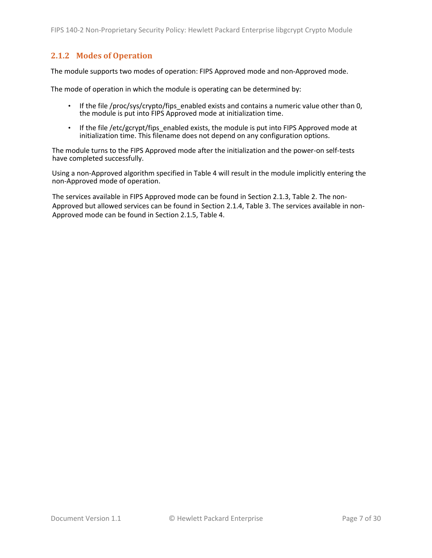# <span id="page-6-0"></span>**2.1.2 Modes of Operation**

The module supports two modes of operation: FIPS Approved mode and non-Approved mode.

The mode of operation in which the module is operating can be determined by:

- If the file /proc/sys/crypto/fips enabled exists and contains a numeric value other than 0, the module is put into FIPS Approved mode at initialization time.
- If the file /etc/gcrypt/fips enabled exists, the module is put into FIPS Approved mode at initialization time. This filename does not depend on any configuration options.

The module turns to the FIPS Approved mode after the initialization and the power-on self-tests have completed successfully.

Using a non-Approved algorithm specified in [Table 4](#page-10-2) will result in the module implicitly entering the non-Approved mode of operation.

The services available in FIPS Approved mode can be found in Section [2.1.3,](#page-7-0) [Table 2.](#page-7-1) The non-Approved but allowed services can be found in Section [2.1.4,](#page-10-0) [Table 3.](#page-10-3) The services available in non-Approved mode can be found in Section [2.1.5,](#page-10-1) [Table 4.](#page-10-2)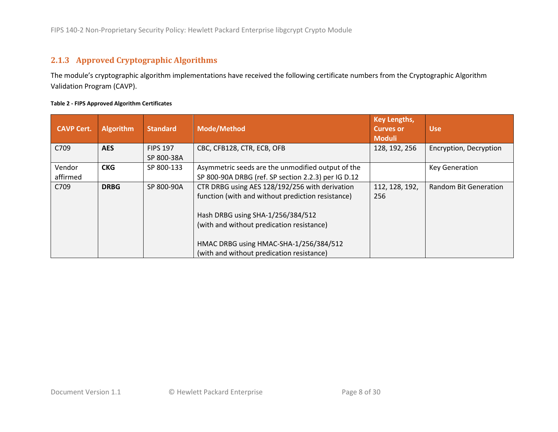# **2.1.3 Approved Cryptographic Algorithms**

The module's cryptographic algorithm implementations have received the following certificate numbers from the Cryptographic Algorithm Validation Program (CAVP).

#### **Table 2 - FIPS Approved Algorithm Certificates**

<span id="page-7-1"></span><span id="page-7-0"></span>

| <b>CAVP Cert.</b>  | <b>Algorithm</b> | <b>Standard</b>               | <b>Mode/Method</b>                                                                                       | <b>Key Lengths,</b><br><b>Curves or</b><br><b>Moduli</b> | <b>Use</b>                   |
|--------------------|------------------|-------------------------------|----------------------------------------------------------------------------------------------------------|----------------------------------------------------------|------------------------------|
| C709               | <b>AES</b>       | <b>FIPS 197</b><br>SP 800-38A | CBC, CFB128, CTR, ECB, OFB                                                                               | 128, 192, 256                                            | Encryption, Decryption       |
| Vendor<br>affirmed | <b>CKG</b>       | SP 800-133                    | Asymmetric seeds are the unmodified output of the<br>SP 800-90A DRBG (ref. SP section 2.2.3) per IG D.12 |                                                          | <b>Key Generation</b>        |
| C709               | <b>DRBG</b>      | SP 800-90A                    | CTR DRBG using AES 128/192/256 with derivation<br>function (with and without prediction resistance)      | 112, 128, 192,<br>256                                    | <b>Random Bit Generation</b> |
|                    |                  |                               | Hash DRBG using SHA-1/256/384/512<br>(with and without predication resistance)                           |                                                          |                              |
|                    |                  |                               | HMAC DRBG using HMAC-SHA-1/256/384/512<br>(with and without predication resistance)                      |                                                          |                              |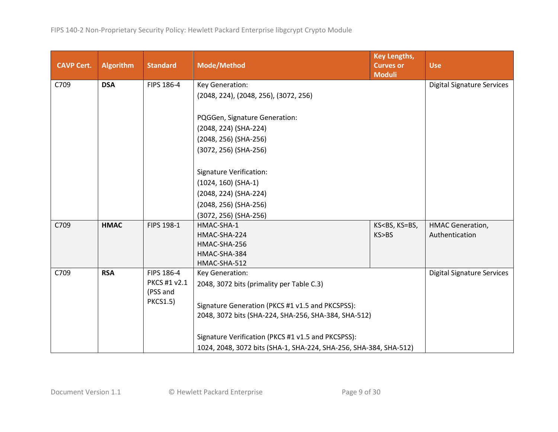| <b>CAVP Cert.</b> | <b>Algorithm</b> | <b>Standard</b> | <b>Mode/Method</b>                                                | <b>Key Lengths,</b><br><b>Curves or</b><br><b>Moduli</b> | <b>Use</b>                        |
|-------------------|------------------|-----------------|-------------------------------------------------------------------|----------------------------------------------------------|-----------------------------------|
| C709              | <b>DSA</b>       | FIPS 186-4      | Key Generation:                                                   |                                                          | <b>Digital Signature Services</b> |
|                   |                  |                 | (2048, 224), (2048, 256), (3072, 256)                             |                                                          |                                   |
|                   |                  |                 | PQGGen, Signature Generation:                                     |                                                          |                                   |
|                   |                  |                 | (2048, 224) (SHA-224)                                             |                                                          |                                   |
|                   |                  |                 | (2048, 256) (SHA-256)                                             |                                                          |                                   |
|                   |                  |                 | (3072, 256) (SHA-256)                                             |                                                          |                                   |
|                   |                  |                 | <b>Signature Verification:</b>                                    |                                                          |                                   |
|                   |                  |                 | $(1024, 160)$ (SHA-1)                                             |                                                          |                                   |
|                   |                  |                 | (2048, 224) (SHA-224)                                             |                                                          |                                   |
|                   |                  |                 | (2048, 256) (SHA-256)                                             |                                                          |                                   |
|                   |                  |                 | (3072, 256) (SHA-256)                                             |                                                          |                                   |
| C709              | <b>HMAC</b>      | FIPS 198-1      | HMAC-SHA-1                                                        | KS <bs, ks="BS,&lt;/td"><td>HMAC Generation,</td></bs,>  | HMAC Generation,                  |
|                   |                  |                 | HMAC-SHA-224                                                      | KS>BS                                                    | Authentication                    |
|                   |                  |                 | HMAC-SHA-256                                                      |                                                          |                                   |
|                   |                  |                 | HMAC-SHA-384                                                      |                                                          |                                   |
|                   |                  |                 | HMAC-SHA-512                                                      |                                                          |                                   |
| C709              | <b>RSA</b>       | FIPS 186-4      | Key Generation:                                                   |                                                          | <b>Digital Signature Services</b> |
|                   |                  | PKCS #1 v2.1    | 2048, 3072 bits (primality per Table C.3)                         |                                                          |                                   |
|                   |                  | (PSS and        |                                                                   |                                                          |                                   |
|                   |                  | <b>PKCS1.5)</b> | Signature Generation (PKCS #1 v1.5 and PKCSPSS):                  |                                                          |                                   |
|                   |                  |                 | 2048, 3072 bits (SHA-224, SHA-256, SHA-384, SHA-512)              |                                                          |                                   |
|                   |                  |                 | Signature Verification (PKCS #1 v1.5 and PKCSPSS):                |                                                          |                                   |
|                   |                  |                 | 1024, 2048, 3072 bits (SHA-1, SHA-224, SHA-256, SHA-384, SHA-512) |                                                          |                                   |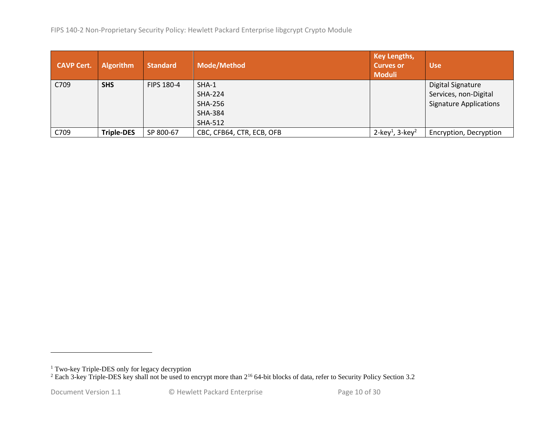| <b>CAVP Cert.</b> | <b>Algorithm</b>  | <b>Standard</b>   | <b>Mode/Method</b>        | <b>Key Lengths,</b><br><b>Curves or</b><br><b>Moduli</b> | <b>Use</b>                    |
|-------------------|-------------------|-------------------|---------------------------|----------------------------------------------------------|-------------------------------|
| C709              | <b>SHS</b>        | <b>FIPS 180-4</b> | SHA-1                     |                                                          | <b>Digital Signature</b>      |
|                   |                   |                   | <b>SHA-224</b>            |                                                          | Services, non-Digital         |
|                   |                   |                   | <b>SHA-256</b>            |                                                          | <b>Signature Applications</b> |
|                   |                   |                   | <b>SHA-384</b>            |                                                          |                               |
|                   |                   |                   | <b>SHA-512</b>            |                                                          |                               |
| C709              | <b>Triple-DES</b> | SP 800-67         | CBC, CFB64, CTR, ECB, OFB | 2-key <sup>1</sup> , 3-key <sup>2</sup>                  | Encryption, Decryption        |

<sup>&</sup>lt;sup>1</sup> Two-key Triple-DES only for legacy decryption

<sup>&</sup>lt;sup>2</sup> Each 3-key Triple-DES key shall not be used to encrypt more than  $2^{16}$  64-bit blocks of data, refer to Security Policy Section [3.2](#page-25-3)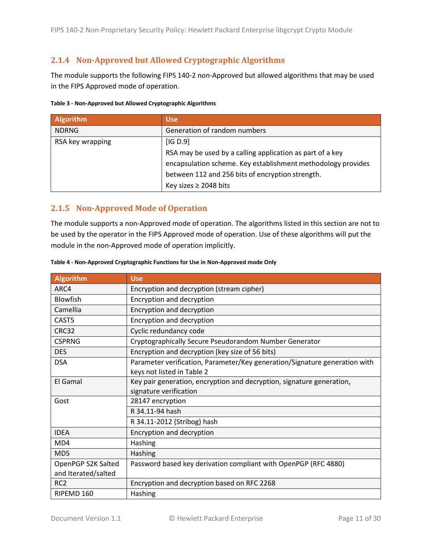# <span id="page-10-0"></span>**2.1.4 Non-Approved but Allowed Cryptographic Algorithms**

The module supports the following FIPS 140-2 non-Approved but allowed algorithms that may be used in the FIPS Approved mode of operation.

<span id="page-10-3"></span>

| Table 3 - Non-Approved but Allowed Cryptographic Algorithms |  |
|-------------------------------------------------------------|--|
|-------------------------------------------------------------|--|

| <b>Algorithm</b> | <b>Use</b>                                                   |
|------------------|--------------------------------------------------------------|
| <b>NDRNG</b>     | Generation of random numbers                                 |
| RSA key wrapping | [IG D.9]                                                     |
|                  | RSA may be used by a calling application as part of a key    |
|                  | encapsulation scheme. Key establishment methodology provides |
|                  | between 112 and 256 bits of encryption strength.             |
|                  | Key sizes $\geq$ 2048 bits                                   |

#### <span id="page-10-1"></span>**2.1.5 Non-Approved Mode of Operation**

The module supports a non-Approved mode of operation. The algorithms listed in this section are not to be used by the operator in the FIPS Approved mode of operation. Use of these algorithms will put the module in the non-Approved mode of operation implicitly.

| <b>Algorithm</b>    | <b>Use</b>                                                                 |
|---------------------|----------------------------------------------------------------------------|
| ARC4                | Encryption and decryption (stream cipher)                                  |
| Blowfish            | Encryption and decryption                                                  |
| Camellia            | Encryption and decryption                                                  |
| CAST5               | Encryption and decryption                                                  |
| CRC32               | Cyclic redundancy code                                                     |
| <b>CSPRNG</b>       | Cryptographically Secure Pseudorandom Number Generator                     |
| <b>DES</b>          | Encryption and decryption (key size of 56 bits)                            |
| <b>DSA</b>          | Parameter verification, Parameter/Key generation/Signature generation with |
|                     | keys not listed in Table 2                                                 |
| El Gamal            | Key pair generation, encryption and decryption, signature generation,      |
|                     | signature verification                                                     |
| Gost                | 28147 encryption                                                           |
|                     | R 34.11-94 hash                                                            |
|                     | R 34.11-2012 (Stribog) hash                                                |
| <b>IDEA</b>         | Encryption and decryption                                                  |
| M <sub>D</sub> 4    | Hashing                                                                    |
| MD5                 | Hashing                                                                    |
| OpenPGP S2K Salted  | Password based key derivation compliant with OpenPGP (RFC 4880)            |
| and Iterated/salted |                                                                            |
| RC <sub>2</sub>     | Encryption and decryption based on RFC 2268                                |
| RIPEMD 160          | Hashing                                                                    |

#### <span id="page-10-2"></span>**Table 4 - Non-Approved Cryptographic Functions for Use in Non-Approved mode Only**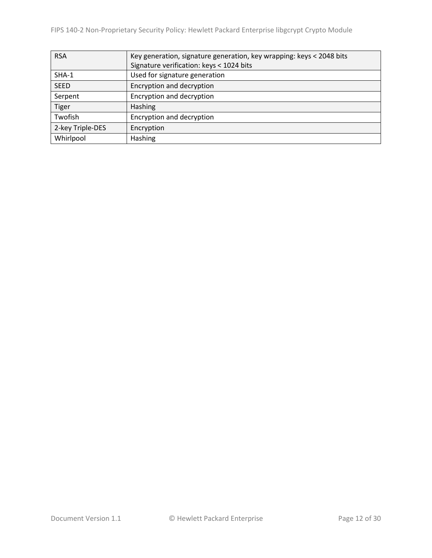| <b>RSA</b>       | Key generation, signature generation, key wrapping: keys < 2048 bits |
|------------------|----------------------------------------------------------------------|
|                  | Signature verification: keys < 1024 bits                             |
| SHA-1            | Used for signature generation                                        |
| <b>SEED</b>      | Encryption and decryption                                            |
| Serpent          | Encryption and decryption                                            |
| <b>Tiger</b>     | Hashing                                                              |
| Twofish          | Encryption and decryption                                            |
| 2-key Triple-DES | Encryption                                                           |
| Whirlpool        | <b>Hashing</b>                                                       |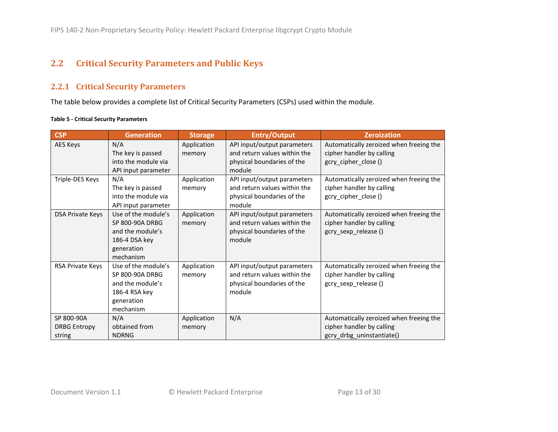# **2.2 Critical Security Parameters and Public Keys**

### **2.2.1 Critical Security Parameters**

The table below provides a complete list of Critical Security Parameters (CSPs) used within the module.

#### **Table 5 - Critical Security Parameters**

<span id="page-12-1"></span><span id="page-12-0"></span>

| <b>CSP</b>                                  | <b>Generation</b>                                                                                             | <b>Storage</b>        | <b>Entry/Output</b>                                                                                 | <b>Zeroization</b>                                                                                |
|---------------------------------------------|---------------------------------------------------------------------------------------------------------------|-----------------------|-----------------------------------------------------------------------------------------------------|---------------------------------------------------------------------------------------------------|
| AES Keys                                    | N/A<br>The key is passed<br>into the module via<br>API input parameter                                        | Application<br>memory | API input/output parameters<br>and return values within the<br>physical boundaries of the<br>module | Automatically zeroized when freeing the<br>cipher handler by calling<br>gcry cipher close ()      |
| Triple-DES Keys                             | N/A<br>The key is passed<br>into the module via<br>API input parameter                                        | Application<br>memory | API input/output parameters<br>and return values within the<br>physical boundaries of the<br>module | Automatically zeroized when freeing the<br>cipher handler by calling<br>gcry_cipher_close()       |
| <b>DSA Private Keys</b>                     | Use of the module's<br><b>SP 800-90A DRBG</b><br>and the module's<br>186-4 DSA key<br>generation<br>mechanism | Application<br>memory | API input/output parameters<br>and return values within the<br>physical boundaries of the<br>module | Automatically zeroized when freeing the<br>cipher handler by calling<br>gcry_sexp_release()       |
| RSA Private Keys                            | Use of the module's<br>SP 800-90A DRBG<br>and the module's<br>186-4 RSA key<br>generation<br>mechanism        | Application<br>memory | API input/output parameters<br>and return values within the<br>physical boundaries of the<br>module | Automatically zeroized when freeing the<br>cipher handler by calling<br>gcry_sexp_release()       |
| SP 800-90A<br><b>DRBG Entropy</b><br>string | N/A<br>obtained from<br><b>NDRNG</b>                                                                          | Application<br>memory | N/A                                                                                                 | Automatically zeroized when freeing the<br>cipher handler by calling<br>gcry_drbg_uninstantiate() |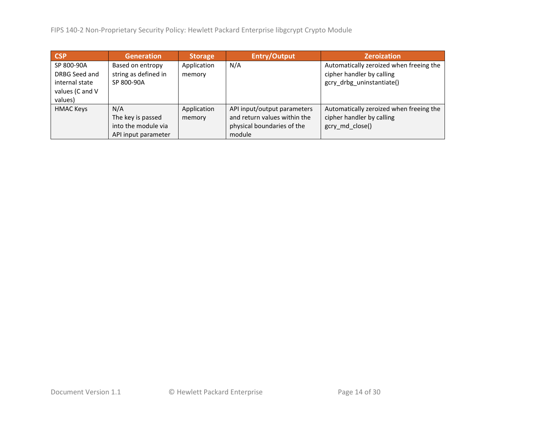FIPS 140-2 Non-Proprietary Security Policy: Hewlett Packard Enterprise libgcrypt Crypto Module

| <b>CSP</b>                                                                  | <b>Generation</b>                                                      | Storage               | <b>Entry/Output</b>                                                                                 | <b>Zeroization</b>                                                                                |
|-----------------------------------------------------------------------------|------------------------------------------------------------------------|-----------------------|-----------------------------------------------------------------------------------------------------|---------------------------------------------------------------------------------------------------|
| SP 800-90A<br>DRBG Seed and<br>internal state<br>values (C and V<br>values) | Based on entropy<br>string as defined in<br>SP 800-90A                 | Application<br>memory | N/A                                                                                                 | Automatically zeroized when freeing the<br>cipher handler by calling<br>gcry drbg uninstantiate() |
| <b>HMAC Keys</b>                                                            | N/A<br>The key is passed<br>into the module via<br>API input parameter | Application<br>memory | API input/output parameters<br>and return values within the<br>physical boundaries of the<br>module | Automatically zeroized when freeing the<br>cipher handler by calling<br>gcry md close()           |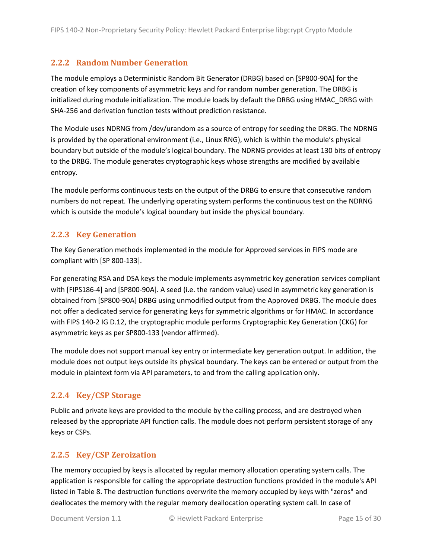### <span id="page-14-0"></span>**2.2.2 Random Number Generation**

<span id="page-14-4"></span>The module employs a Deterministic Random Bit Generator (DRBG) based on [SP800-90A] for the creation of key components of asymmetric keys and for random number generation. The DRBG is initialized during module initialization. The module loads by default the DRBG using HMAC\_DRBG with SHA-256 and derivation function tests without prediction resistance.

The Module uses NDRNG from /dev/urandom as a source of entropy for seeding the DRBG. The NDRNG is provided by the operational environment (i.e., Linux RNG), which is within the module's physical boundary but outside of the module's logical boundary. The NDRNG provides at least 130 bits of entropy to the DRBG. The module generates cryptographic keys whose strengths are modified by available entropy.

The module performs continuous tests on the output of the DRBG to ensure that consecutive random numbers do not repeat. The underlying operating system performs the continuous test on the NDRNG which is outside the module's logical boundary but inside the physical boundary.

### <span id="page-14-1"></span>**2.2.3 Key Generation**

The Key Generation methods implemented in the module for Approved services in FIPS mode are compliant with [SP 800-133].

For generating RSA and DSA keys the module implements asymmetric key generation services compliant with [FIPS186-4] and [SP800-90A]. A seed (i.e. the random value) used in asymmetric key generation is obtained from [SP800-90A] DRBG using unmodified output from the Approved DRBG. The module does not offer a dedicated service for generating keys for symmetric algorithms or for HMAC. In accordance with FIPS 140-2 IG D.12, the cryptographic module performs Cryptographic Key Generation (CKG) for asymmetric keys as per SP800-133 (vendor affirmed).

The module does not support manual key entry or intermediate key generation output. In addition, the module does not output keys outside its physical boundary. The keys can be entered or output from the module in plaintext form via API parameters, to and from the calling application only.

# <span id="page-14-2"></span>**2.2.4 Key/CSP Storage**

Public and private keys are provided to the module by the calling process, and are destroyed when released by the appropriate API function calls. The module does not perform persistent storage of any keys or CSPs.

# <span id="page-14-3"></span>**2.2.5 Key/CSP Zeroization**

The memory occupied by keys is allocated by regular memory allocation operating system calls. The application is responsible for calling the appropriate destruction functions provided in the module's API listed i[n Table 8.](#page-18-3) The destruction functions overwrite the memory occupied by keys with "zeros" and deallocates the memory with the regular memory deallocation operating system call. In case of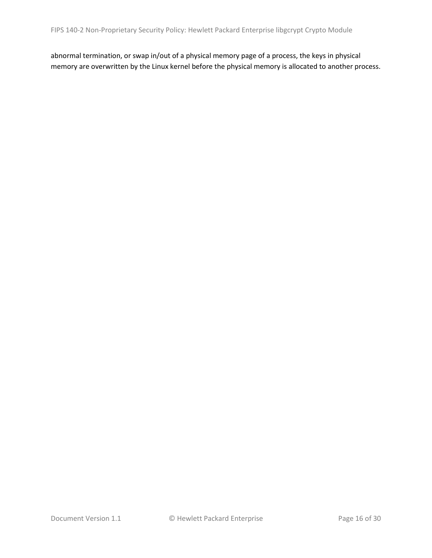abnormal termination, or swap in/out of a physical memory page of a process, the keys in physical memory are overwritten by the Linux kernel before the physical memory is allocated to another process.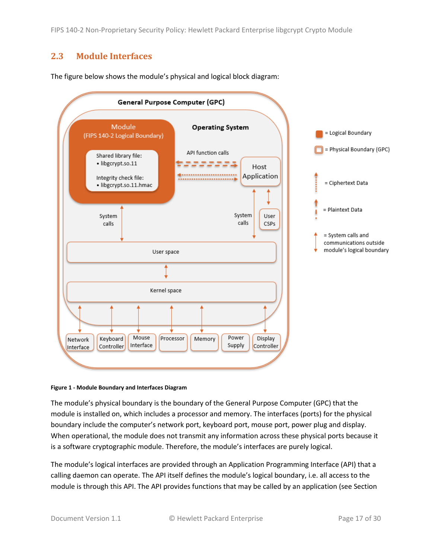# <span id="page-16-0"></span>**2.3 Module Interfaces**

The figure below shows the module's physical and logical block diagram:



#### <span id="page-16-1"></span>**Figure 1 - Module Boundary and Interfaces Diagram**

The module's physical boundary is the boundary of the General Purpose Computer (GPC) that the module is installed on, which includes a processor and memory. The interfaces (ports) for the physical boundary include the computer's network port, keyboard port, mouse port, power plug and display. When operational, the module does not transmit any information across these physical ports because it is a software cryptographic module. Therefore, the module's interfaces are purely logical.

The module's logical interfaces are provided through an Application Programming Interface (API) that a calling daemon can operate. The API itself defines the module's logical boundary, i.e. all access to the module is through this API. The API provides functions that may be called by an application (see Section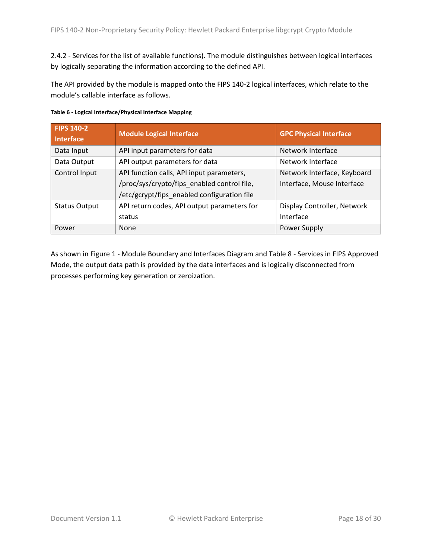[2.4.2](#page-18-2) - [Services](#page-18-2) for the list of available functions). The module distinguishes between logical interfaces by logically separating the information according to the defined API.

The API provided by the module is mapped onto the FIPS 140-2 logical interfaces, which relate to the module's callable interface as follows.

| <b>FIPS 140-2</b><br>Interface | Module Logical Interface                    | <b>GPC Physical Interface</b> |
|--------------------------------|---------------------------------------------|-------------------------------|
| Data Input                     | API input parameters for data               | Network Interface             |
| Data Output                    | API output parameters for data              | Network Interface             |
| Control Input                  | API function calls, API input parameters,   | Network Interface, Keyboard   |
|                                | /proc/sys/crypto/fips_enabled control file, | Interface, Mouse Interface    |
|                                | /etc/gcrypt/fips_enabled configuration file |                               |
| <b>Status Output</b>           | API return codes, API output parameters for | Display Controller, Network   |
|                                | status                                      | Interface                     |
| Power                          | None                                        | Power Supply                  |

|  |  | Table 6 - Logical Interface/Physical Interface Mapping |  |
|--|--|--------------------------------------------------------|--|
|--|--|--------------------------------------------------------|--|

As shown in Figure 1 - [Module Boundary and Interfaces Diagram](#page-16-1) and Table 8 - [Services in FIPS Approved](#page-18-3)  [Mode,](#page-18-3) the output data path is provided by the data interfaces and is logically disconnected from processes performing key generation or zeroization.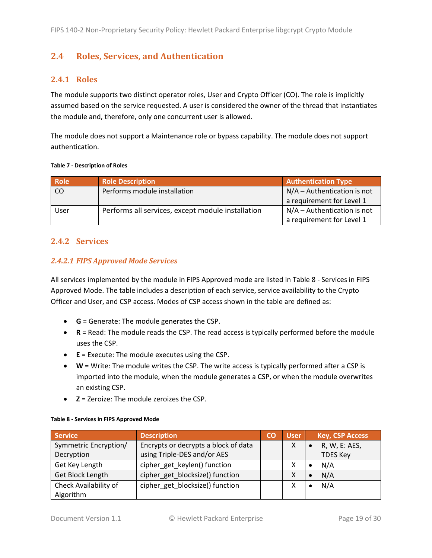# <span id="page-18-0"></span>**2.4 Roles, Services, and Authentication**

### <span id="page-18-1"></span>**2.4.1 Roles**

The module supports two distinct operator roles, User and Crypto Officer (CO). The role is implicitly assumed based on the service requested. A user is considered the owner of the thread that instantiates the module and, therefore, only one concurrent user is allowed.

The module does not support a Maintenance role or bypass capability. The module does not support authentication.

#### **Table 7 - Description of Roles**

| <b>Role</b>   | <b>Role Description</b>                           | <b>Authentication Type</b>    |
|---------------|---------------------------------------------------|-------------------------------|
| <sub>CO</sub> | Performs module installation                      | $N/A -$ Authentication is not |
|               |                                                   | a requirement for Level 1     |
| User          | Performs all services, except module installation | $N/A -$ Authentication is not |
|               |                                                   | a requirement for Level 1     |

#### <span id="page-18-2"></span>**2.4.2 Services**

#### *2.4.2.1 FIPS Approved Mode Services*

All services implemented by the module in FIPS Approved mode are listed in Table 8 - [Services in FIPS](#page-18-3)  [Approved Mode.](#page-18-3) The table includes a description of each service, service availability to the Crypto Officer and User, and CSP access. Modes of CSP access shown in the table are defined as:

- **G** = Generate: The module generates the CSP.
- **R** = Read: The module reads the CSP. The read access is typically performed before the module uses the CSP.
- **E** = Execute: The module executes using the CSP.
- **W** = Write: The module writes the CSP. The write access is typically performed after a CSP is imported into the module, when the module generates a CSP, or when the module overwrites an existing CSP.
- **Z** = Zeroize: The module zeroizes the CSP.

| <b>Service</b>          | <b>Description</b>                   | CO | <b>User</b> | <b>Key, CSP Access</b> |
|-------------------------|--------------------------------------|----|-------------|------------------------|
| Symmetric Encryption/   | Encrypts or decrypts a block of data |    |             | R, W, E: AES,          |
| Decryption              | using Triple-DES and/or AES          |    |             | <b>TDES Key</b>        |
| Get Key Length          | cipher_get_keylen() function         |    |             | N/A<br>$\bullet$       |
| <b>Get Block Length</b> | cipher get blocksize() function      |    |             | N/A<br>$\bullet$       |
| Check Availability of   | cipher_get_blocksize() function      |    |             | N/A                    |
| Algorithm               |                                      |    |             |                        |

#### <span id="page-18-3"></span>**Table 8 - Services in FIPS Approved Mode**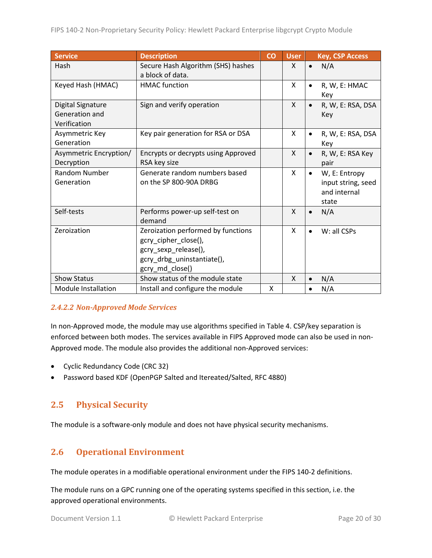| Service                                                    | <b>Description</b>                                                                                                                  | $\overline{c}$ | <b>User</b>  | <b>Key, CSP Access</b>                                                    |
|------------------------------------------------------------|-------------------------------------------------------------------------------------------------------------------------------------|----------------|--------------|---------------------------------------------------------------------------|
| Hash                                                       | Secure Hash Algorithm (SHS) hashes<br>a block of data.                                                                              |                | X            | N/A<br>$\bullet$                                                          |
| Keyed Hash (HMAC)                                          | <b>HMAC</b> function                                                                                                                |                | X            | R, W, E: HMAC<br>$\bullet$<br>Key                                         |
| <b>Digital Signature</b><br>Generation and<br>Verification | Sign and verify operation                                                                                                           |                | $\mathsf{X}$ | R, W, E: RSA, DSA<br>$\bullet$<br>Key                                     |
| Asymmetric Key<br>Generation                               | Key pair generation for RSA or DSA                                                                                                  |                | X            | R, W, E: RSA, DSA<br>$\bullet$<br>Key                                     |
| Asymmetric Encryption/<br>Decryption                       | Encrypts or decrypts using Approved<br>RSA key size                                                                                 |                | X            | R, W, E: RSA Key<br>$\bullet$<br>pair                                     |
| Random Number<br>Generation                                | Generate random numbers based<br>on the SP 800-90A DRBG                                                                             |                | X            | W, E: Entropy<br>$\bullet$<br>input string, seed<br>and internal<br>state |
| Self-tests                                                 | Performs power-up self-test on<br>demand                                                                                            |                | X            | N/A<br>$\bullet$                                                          |
| Zeroization                                                | Zeroization performed by functions<br>gcry_cipher_close(),<br>gcry_sexp_release(),<br>gcry_drbg_uninstantiate(),<br>gcry_md_close() |                | X            | W: all CSPs<br>$\bullet$                                                  |
| <b>Show Status</b>                                         | Show status of the module state                                                                                                     |                | X            | N/A<br>$\bullet$                                                          |
| <b>Module Installation</b>                                 | Install and configure the module                                                                                                    | Χ              |              | N/A<br>$\bullet$                                                          |

#### *2.4.2.2 Non-Approved Mode Services*

In non-Approved mode, the module may use algorithms specified in [Table 4.](#page-10-2) CSP/key separation is enforced between both modes. The services available in FIPS Approved mode can also be used in non-Approved mode. The module also provides the additional non-Approved services:

- Cyclic Redundancy Code (CRC 32)
- Password based KDF (OpenPGP Salted and Itereated/Salted, RFC 4880)

# <span id="page-19-0"></span>**2.5 Physical Security**

The module is a software-only module and does not have physical security mechanisms.

# <span id="page-19-1"></span>**2.6 Operational Environment**

The module operates in a modifiable operational environment under the FIPS 140-2 definitions.

The module runs on a GPC running one of the operating systems specified in this section, i.e. the approved operational environments.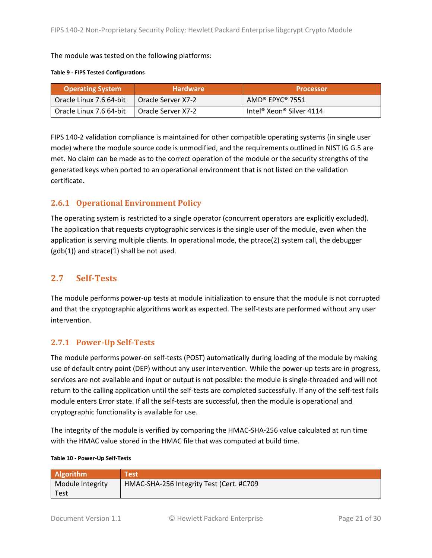The module was tested on the following platforms:

#### **Table 9 - FIPS Tested Configurations**

| <b>Operating System</b> | <b>Hardware</b>      | <b>Processor</b>                                 |
|-------------------------|----------------------|--------------------------------------------------|
| Oracle Linux 7.6 64-bit | 1 Oracle Server X7-2 | $AMD^{\circ}$ EPYC $^{\circ}$ 7551               |
| Oracle Linux 7.6 64-bit | 1 Oracle Server X7-2 | Intel <sup>®</sup> Xeon <sup>®</sup> Silver 4114 |

FIPS 140-2 validation compliance is maintained for other compatible operating systems (in single user mode) where the module source code is unmodified, and the requirements outlined in NIST IG G.5 are met. No claim can be made as to the correct operation of the module or the security strengths of the generated keys when ported to an operational environment that is not listed on the validation certificate.

# <span id="page-20-0"></span>**2.6.1 Operational Environment Policy**

The operating system is restricted to a single operator (concurrent operators are explicitly excluded). The application that requests cryptographic services is the single user of the module, even when the application is serving multiple clients. In operational mode, the ptrace(2) system call, the debugger  $(gdb(1))$  and strace $(1)$  shall be not used.

# <span id="page-20-1"></span>**2.7 Self-Tests**

The module performs power-up tests at module initialization to ensure that the module is not corrupted and that the cryptographic algorithms work as expected. The self-tests are performed without any user intervention.

# <span id="page-20-2"></span>**2.7.1 Power-Up Self-Tests**

The module performs power-on self-tests (POST) automatically during loading of the module by making use of default entry point (DEP) without any user intervention. While the power-up tests are in progress, services are not available and input or output is not possible: the module is single-threaded and will not return to the calling application until the self-tests are completed successfully. If any of the self-test fails module enters Error state. If all the self-tests are successful, then the module is operational and cryptographic functionality is available for use.

The integrity of the module is verified by comparing the HMAC-SHA-256 value calculated at run time with the HMAC value stored in the HMAC file that was computed at build time.

|  | Table 10 - Power-Up Self-Tests |  |
|--|--------------------------------|--|
|--|--------------------------------|--|

| <b>Algorithm</b> | <b>Test</b>                              |
|------------------|------------------------------------------|
| Module Integrity | HMAC-SHA-256 Integrity Test (Cert. #C709 |
| Test             |                                          |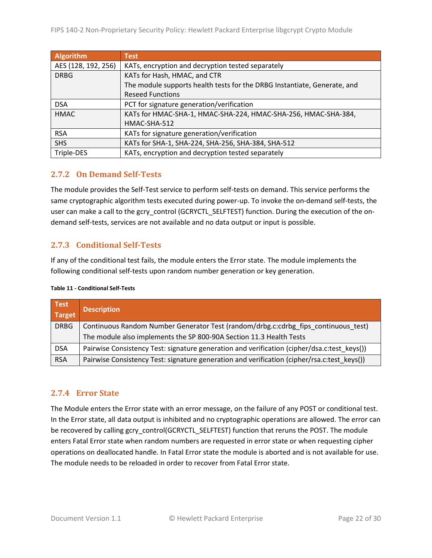| <b>Algorithm</b>    | <b>Test</b>                                                              |
|---------------------|--------------------------------------------------------------------------|
| AES (128, 192, 256) | KATs, encryption and decryption tested separately                        |
| <b>DRBG</b>         | KATs for Hash, HMAC, and CTR                                             |
|                     | The module supports health tests for the DRBG Instantiate, Generate, and |
|                     | <b>Reseed Functions</b>                                                  |
| <b>DSA</b>          | PCT for signature generation/verification                                |
| <b>HMAC</b>         | KATs for HMAC-SHA-1, HMAC-SHA-224, HMAC-SHA-256, HMAC-SHA-384,           |
|                     | HMAC-SHA-512                                                             |
| <b>RSA</b>          | KATs for signature generation/verification                               |
| <b>SHS</b>          | KATs for SHA-1, SHA-224, SHA-256, SHA-384, SHA-512                       |
| Triple-DES          | KATs, encryption and decryption tested separately                        |

# <span id="page-21-0"></span>**2.7.2 On Demand Self-Tests**

The module provides the Self-Test service to perform self-tests on demand. This service performs the same cryptographic algorithm tests executed during power-up. To invoke the on-demand self-tests, the user can make a call to the gcry\_control (GCRYCTL\_SELFTEST) function. During the execution of the ondemand self-tests, services are not available and no data output or input is possible.

# <span id="page-21-1"></span>**2.7.3 Conditional Self-Tests**

If any of the conditional test fails, the module enters the Error state. The module implements the following conditional self-tests upon random number generation or key generation.

| Test<br>Target | <b>Description</b>                                                                          |
|----------------|---------------------------------------------------------------------------------------------|
| <b>DRBG</b>    | Continuous Random Number Generator Test (random/drbg.c:cdrbg fips continuous test)          |
|                | The module also implements the SP 800-90A Section 11.3 Health Tests                         |
| <b>DSA</b>     | Pairwise Consistency Test: signature generation and verification (cipher/dsa.c:test keys()) |
| <b>RSA</b>     | Pairwise Consistency Test: signature generation and verification (cipher/rsa.c:test keys()) |

# <span id="page-21-2"></span>**2.7.4 Error State**

The Module enters the Error state with an error message, on the failure of any POST or conditional test. In the Error state, all data output is inhibited and no cryptographic operations are allowed. The error can be recovered by calling gcry\_control(GCRYCTL\_SELFTEST) function that reruns the POST. The module enters Fatal Error state when random numbers are requested in error state or when requesting cipher operations on deallocated handle. In Fatal Error state the module is aborted and is not available for use. The module needs to be reloaded in order to recover from Fatal Error state.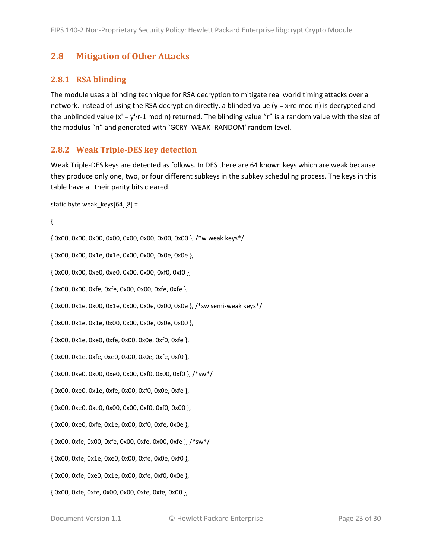# <span id="page-22-0"></span>**2.8 Mitigation of Other Attacks**

### <span id="page-22-1"></span>**2.8.1 RSA blinding**

The module uses a blinding technique for RSA decryption to mitigate real world timing attacks over a network. Instead of using the RSA decryption directly, a blinded value (y = x·re mod n) is decrypted and the unblinded value  $(x' = y' \cdot r - 1 \mod n)$  returned. The blinding value "r" is a random value with the size of the modulus "n" and generated with `GCRY\_WEAK\_RANDOM' random level.

#### <span id="page-22-2"></span>**2.8.2 Weak Triple-DES key detection**

Weak Triple-DES keys are detected as follows. In DES there are 64 known keys which are weak because they produce only one, two, or four different subkeys in the subkey scheduling process. The keys in this table have all their parity bits cleared.

```
static byte weak keys[64][8] =
```
{

{ 0x00, 0x00, 0x00, 0x00, 0x00, 0x00, 0x00, 0x00 }, /\*w weak keys\*/

{ 0x00, 0x00, 0x1e, 0x1e, 0x00, 0x00, 0x0e, 0x0e },

{ 0x00, 0x00, 0xe0, 0xe0, 0x00, 0x00, 0xf0, 0xf0 },

{ 0x00, 0x00, 0xfe, 0xfe, 0x00, 0x00, 0xfe, 0xfe },

{ 0x00, 0x1e, 0x00, 0x1e, 0x00, 0x0e, 0x00, 0x0e }, /\*sw semi-weak keys\*/

{ 0x00, 0x1e, 0x1e, 0x00, 0x00, 0x0e, 0x0e, 0x00 },

{ 0x00, 0x1e, 0xe0, 0xfe, 0x00, 0x0e, 0xf0, 0xfe },

{ 0x00, 0x1e, 0xfe, 0xe0, 0x00, 0x0e, 0xfe, 0xf0 },

{ 0x00, 0xe0, 0x00, 0xe0, 0x00, 0xf0, 0x00, 0xf0 }, /\*sw\*/

{ 0x00, 0xe0, 0x1e, 0xfe, 0x00, 0xf0, 0x0e, 0xfe },

{ 0x00, 0xe0, 0xe0, 0x00, 0x00, 0xf0, 0xf0, 0x00 },

{ 0x00, 0xe0, 0xfe, 0x1e, 0x00, 0xf0, 0xfe, 0x0e },

{ 0x00, 0xfe, 0x00, 0xfe, 0x00, 0xfe, 0x00, 0xfe }, /\*sw\*/

{ 0x00, 0xfe, 0x1e, 0xe0, 0x00, 0xfe, 0x0e, 0xf0 },

{ 0x00, 0xfe, 0xe0, 0x1e, 0x00, 0xfe, 0xf0, 0x0e },

{ 0x00, 0xfe, 0xfe, 0x00, 0x00, 0xfe, 0xfe, 0x00 },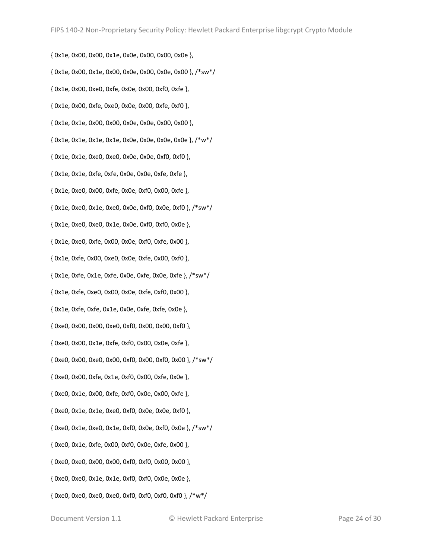{ 0x1e, 0x00, 0x00, 0x1e, 0x0e, 0x00, 0x00, 0x0e }, { 0x1e, 0x00, 0x1e, 0x00, 0x0e, 0x00, 0x0e, 0x00 }, /\*sw\*/ { 0x1e, 0x00, 0xe0, 0xfe, 0x0e, 0x00, 0xf0, 0xfe }, { 0x1e, 0x00, 0xfe, 0xe0, 0x0e, 0x00, 0xfe, 0xf0 }, { 0x1e, 0x1e, 0x00, 0x00, 0x0e, 0x0e, 0x00, 0x00 }, { 0x1e, 0x1e, 0x1e, 0x1e, 0x0e, 0x0e, 0x0e, 0x0e }, /\*w\*/ { 0x1e, 0x1e, 0xe0, 0xe0, 0x0e, 0x0e, 0xf0, 0xf0 }, { 0x1e, 0x1e, 0xfe, 0xfe, 0x0e, 0x0e, 0xfe, 0xfe }, { 0x1e, 0xe0, 0x00, 0xfe, 0x0e, 0xf0, 0x00, 0xfe }, { 0x1e, 0xe0, 0x1e, 0xe0, 0x0e, 0xf0, 0x0e, 0xf0 }, /\*sw\*/ { 0x1e, 0xe0, 0xe0, 0x1e, 0x0e, 0xf0, 0xf0, 0x0e }, { 0x1e, 0xe0, 0xfe, 0x00, 0x0e, 0xf0, 0xfe, 0x00 }, { 0x1e, 0xfe, 0x00, 0xe0, 0x0e, 0xfe, 0x00, 0xf0 }, { 0x1e, 0xfe, 0x1e, 0xfe, 0x0e, 0xfe, 0x0e, 0xfe }, /\*sw\*/ { 0x1e, 0xfe, 0xe0, 0x00, 0x0e, 0xfe, 0xf0, 0x00 }, { 0x1e, 0xfe, 0xfe, 0x1e, 0x0e, 0xfe, 0xfe, 0x0e }, { 0xe0, 0x00, 0x00, 0xe0, 0xf0, 0x00, 0x00, 0xf0 }, { 0xe0, 0x00, 0x1e, 0xfe, 0xf0, 0x00, 0x0e, 0xfe }, { 0xe0, 0x00, 0xe0, 0x00, 0xf0, 0x00, 0xf0, 0x00 }, /\*sw\*/ { 0xe0, 0x00, 0xfe, 0x1e, 0xf0, 0x00, 0xfe, 0x0e }, { 0xe0, 0x1e, 0x00, 0xfe, 0xf0, 0x0e, 0x00, 0xfe }, { 0xe0, 0x1e, 0x1e, 0xe0, 0xf0, 0x0e, 0x0e, 0xf0 }, { 0xe0, 0x1e, 0xe0, 0x1e, 0xf0, 0x0e, 0xf0, 0x0e }, /\*sw\*/ { 0xe0, 0x1e, 0xfe, 0x00, 0xf0, 0x0e, 0xfe, 0x00 }, { 0xe0, 0xe0, 0x00, 0x00, 0xf0, 0xf0, 0x00, 0x00 }, { 0xe0, 0xe0, 0x1e, 0x1e, 0xf0, 0xf0, 0x0e, 0x0e }, { 0xe0, 0xe0, 0xe0, 0xe0, 0xf0, 0xf0, 0xf0, 0xf0 }, /\*w\*/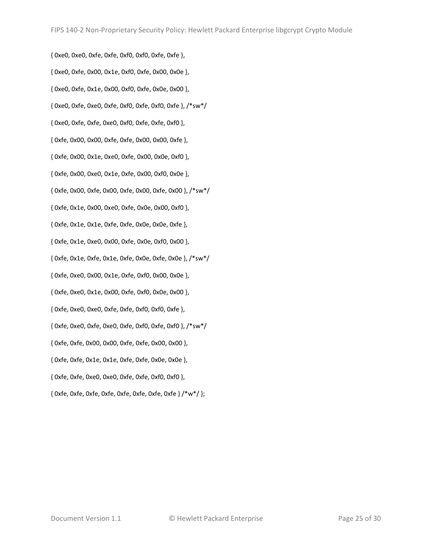{ 0xe0, 0xe0, 0xfe, 0xfe, 0xf0, 0xf0, 0xfe, 0xfe }, { 0xe0, 0xfe, 0x00, 0x1e, 0xf0, 0xfe, 0x00, 0x0e }, { 0xe0, 0xfe, 0x1e, 0x00, 0xf0, 0xfe, 0x0e, 0x00 }, { 0xe0, 0xfe, 0xe0, 0xfe, 0xf0, 0xfe, 0xf0, 0xfe }, /\*sw\*/ { 0xe0, 0xfe, 0xfe, 0xe0, 0xf0, 0xfe, 0xfe, 0xf0 }, { 0xfe, 0x00, 0x00, 0xfe, 0xfe, 0x00, 0x00, 0xfe }, { 0xfe, 0x00, 0x1e, 0xe0, 0xfe, 0x00, 0x0e, 0xf0 }, { 0xfe, 0x00, 0xe0, 0x1e, 0xfe, 0x00, 0xf0, 0x0e }, { 0xfe, 0x00, 0xfe, 0x00, 0xfe, 0x00, 0xfe, 0x00 }, /\*sw\*/ { 0xfe, 0x1e, 0x00, 0xe0, 0xfe, 0x0e, 0x00, 0xf0 }, { 0xfe, 0x1e, 0x1e, 0xfe, 0xfe, 0x0e, 0x0e, 0xfe }, { 0xfe, 0x1e, 0xe0, 0x00, 0xfe, 0x0e, 0xf0, 0x00 }, { 0xfe, 0x1e, 0xfe, 0x1e, 0xfe, 0x0e, 0xfe, 0x0e }, /\*sw\*/ { 0xfe, 0xe0, 0x00, 0x1e, 0xfe, 0xf0, 0x00, 0x0e }, { 0xfe, 0xe0, 0x1e, 0x00, 0xfe, 0xf0, 0x0e, 0x00 }, { 0xfe, 0xe0, 0xe0, 0xfe, 0xfe, 0xf0, 0xf0, 0xfe }, { 0xfe, 0xe0, 0xfe, 0xe0, 0xfe, 0xf0, 0xfe, 0xf0 }, /\*sw\*/ { 0xfe, 0xfe, 0x00, 0x00, 0xfe, 0xfe, 0x00, 0x00 }, { 0xfe, 0xfe, 0x1e, 0x1e, 0xfe, 0xfe, 0x0e, 0x0e }, { 0xfe, 0xfe, 0xe0, 0xe0, 0xfe, 0xfe, 0xf0, 0xf0 }, { 0xfe, 0xfe, 0xfe, 0xfe, 0xfe, 0xfe, 0xfe, 0xfe } /\*w\*/ };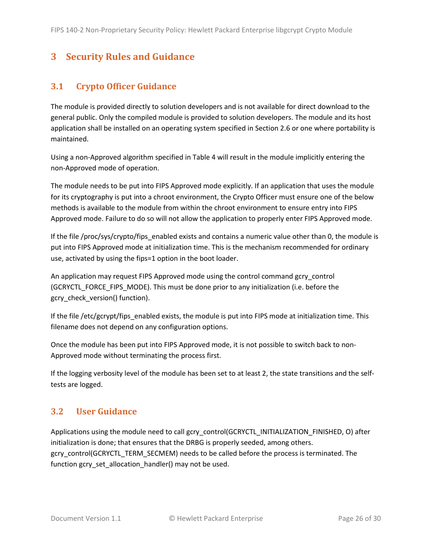# <span id="page-25-0"></span>**3 Security Rules and Guidance**

# <span id="page-25-1"></span>**3.1 Crypto Officer Guidance**

The module is provided directly to solution developers and is not available for direct download to the general public. Only the compiled module is provided to solution developers. The module and its host application shall be installed on an operating system specified in Section [2.6](#page-19-1) or one where portability is maintained.

Using a non-Approved algorithm specified in [Table 4](#page-10-2) will result in the module implicitly entering the non-Approved mode of operation.

The module needs to be put into FIPS Approved mode explicitly. If an application that uses the module for its cryptography is put into a chroot environment, the Crypto Officer must ensure one of the below methods is available to the module from within the chroot environment to ensure entry into FIPS Approved mode. Failure to do so will not allow the application to properly enter FIPS Approved mode.

If the file /proc/sys/crypto/fips\_enabled exists and contains a numeric value other than 0, the module is put into FIPS Approved mode at initialization time. This is the mechanism recommended for ordinary use, activated by using the fips=1 option in the boot loader.

<span id="page-25-3"></span>An application may request FIPS Approved mode using the control command gcry\_control (GCRYCTL\_FORCE\_FIPS\_MODE). This must be done prior to any initialization (i.e. before the gcry\_check\_version() function).

If the file /etc/gcrypt/fips\_enabled exists, the module is put into FIPS mode at initialization time. This filename does not depend on any configuration options.

Once the module has been put into FIPS Approved mode, it is not possible to switch back to non-Approved mode without terminating the process first.

If the logging verbosity level of the module has been set to at least 2, the state transitions and the selftests are logged.

# <span id="page-25-2"></span>**3.2 User Guidance**

Applications using the module need to call gcry\_control(GCRYCTL\_INITIALIZATION\_FINISHED, O) after initialization is done; that ensures that the DRBG is properly seeded, among others. gcry\_control(GCRYCTL\_TERM\_SECMEM) needs to be called before the process is terminated. The function gcry\_set\_allocation\_handler() may not be used.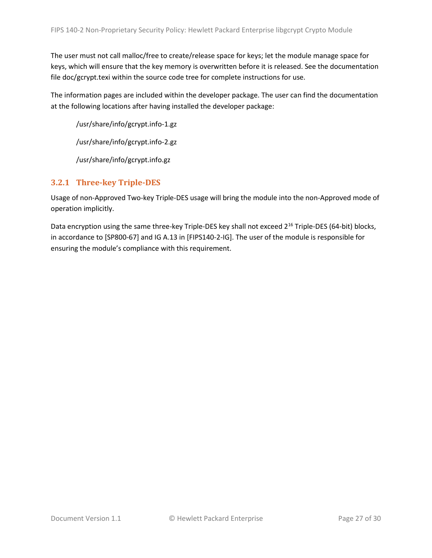The user must not call malloc/free to create/release space for keys; let the module manage space for keys, which will ensure that the key memory is overwritten before it is released. See the documentation file doc/gcrypt.texi within the source code tree for complete instructions for use.

The information pages are included within the developer package. The user can find the documentation at the following locations after having installed the developer package:

/usr/share/info/gcrypt.info-1.gz

/usr/share/info/gcrypt.info-2.gz

/usr/share/info/gcrypt.info.gz

# <span id="page-26-0"></span>**3.2.1 Three-key Triple-DES**

Usage of non-Approved Two-key Triple-DES usage will bring the module into the non-Approved mode of operation implicitly.

Data encryption using the same three-key Triple-DES key shall not exceed 2<sup>16</sup> Triple-DES (64-bit) blocks, in accordance to [SP800-67] and IG A.13 in [FIPS140-2-IG]. The user of the module is responsible for ensuring the module's compliance with this requirement.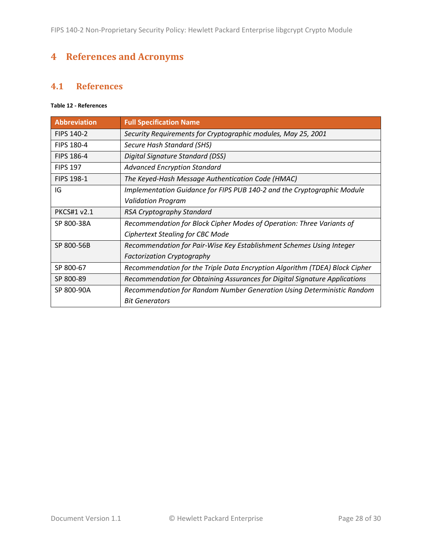# <span id="page-27-0"></span>**4 References and Acronyms**

# <span id="page-27-1"></span>**4.1 References**

### **Table 12 - References**

| <b>Abbreviation</b> | <b>Full Specification Name</b>                                              |
|---------------------|-----------------------------------------------------------------------------|
| <b>FIPS 140-2</b>   | Security Requirements for Cryptographic modules, May 25, 2001               |
| <b>FIPS 180-4</b>   | Secure Hash Standard (SHS)                                                  |
| <b>FIPS 186-4</b>   | Digital Signature Standard (DSS)                                            |
| <b>FIPS 197</b>     | <b>Advanced Encryption Standard</b>                                         |
| <b>FIPS 198-1</b>   | The Keyed-Hash Message Authentication Code (HMAC)                           |
| IG                  | Implementation Guidance for FIPS PUB 140-2 and the Cryptographic Module     |
|                     | <b>Validation Program</b>                                                   |
| <b>PKCS#1 v2.1</b>  | RSA Cryptography Standard                                                   |
| SP 800-38A          | Recommendation for Block Cipher Modes of Operation: Three Variants of       |
|                     | Ciphertext Stealing for CBC Mode                                            |
| SP 800-56B          | Recommendation for Pair-Wise Key Establishment Schemes Using Integer        |
|                     | <b>Factorization Cryptography</b>                                           |
| SP 800-67           | Recommendation for the Triple Data Encryption Algorithm (TDEA) Block Cipher |
| SP 800-89           | Recommendation for Obtaining Assurances for Digital Signature Applications  |
| SP 800-90A          | Recommendation for Random Number Generation Using Deterministic Random      |
|                     | <b>Bit Generators</b>                                                       |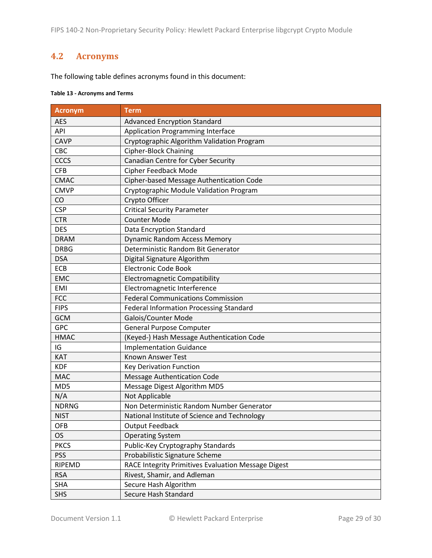FIPS 140-2 Non-Proprietary Security Policy: Hewlett Packard Enterprise libgcrypt Crypto Module

# <span id="page-28-0"></span>**4.2 Acronyms**

The following table defines acronyms found in this document:

#### **Table 13 - Acronyms and Terms**

| <b>Acronym</b> | <b>Term</b>                                         |
|----------------|-----------------------------------------------------|
| <b>AES</b>     | <b>Advanced Encryption Standard</b>                 |
| API            | <b>Application Programming Interface</b>            |
| <b>CAVP</b>    | Cryptographic Algorithm Validation Program          |
| CBC            | Cipher-Block Chaining                               |
| <b>CCCS</b>    | Canadian Centre for Cyber Security                  |
| <b>CFB</b>     | <b>Cipher Feedback Mode</b>                         |
| <b>CMAC</b>    | Cipher-based Message Authentication Code            |
| <b>CMVP</b>    | Cryptographic Module Validation Program             |
| CO             | Crypto Officer                                      |
| <b>CSP</b>     | <b>Critical Security Parameter</b>                  |
| <b>CTR</b>     | <b>Counter Mode</b>                                 |
| <b>DES</b>     | Data Encryption Standard                            |
| <b>DRAM</b>    | <b>Dynamic Random Access Memory</b>                 |
| <b>DRBG</b>    | Deterministic Random Bit Generator                  |
| <b>DSA</b>     | Digital Signature Algorithm                         |
| ECB            | <b>Electronic Code Book</b>                         |
| <b>EMC</b>     | <b>Electromagnetic Compatibility</b>                |
| <b>EMI</b>     | Electromagnetic Interference                        |
| <b>FCC</b>     | <b>Federal Communications Commission</b>            |
| <b>FIPS</b>    | <b>Federal Information Processing Standard</b>      |
| <b>GCM</b>     | Galois/Counter Mode                                 |
| <b>GPC</b>     | <b>General Purpose Computer</b>                     |
| <b>HMAC</b>    | (Keyed-) Hash Message Authentication Code           |
| IG             | <b>Implementation Guidance</b>                      |
| <b>KAT</b>     | Known Answer Test                                   |
| <b>KDF</b>     | <b>Key Derivation Function</b>                      |
| <b>MAC</b>     | <b>Message Authentication Code</b>                  |
| MD5            | Message Digest Algorithm MD5                        |
| N/A            | Not Applicable                                      |
| <b>NDRNG</b>   | Non Deterministic Random Number Generator           |
| <b>NIST</b>    | National Institute of Science and Technology        |
| <b>OFB</b>     | <b>Output Feedback</b>                              |
| <b>OS</b>      | <b>Operating System</b>                             |
| <b>PKCS</b>    | Public-Key Cryptography Standards                   |
| <b>PSS</b>     | Probabilistic Signature Scheme                      |
| RIPEMD         | RACE Integrity Primitives Evaluation Message Digest |
| <b>RSA</b>     | Rivest, Shamir, and Adleman                         |
| <b>SHA</b>     | Secure Hash Algorithm                               |
| <b>SHS</b>     | Secure Hash Standard                                |